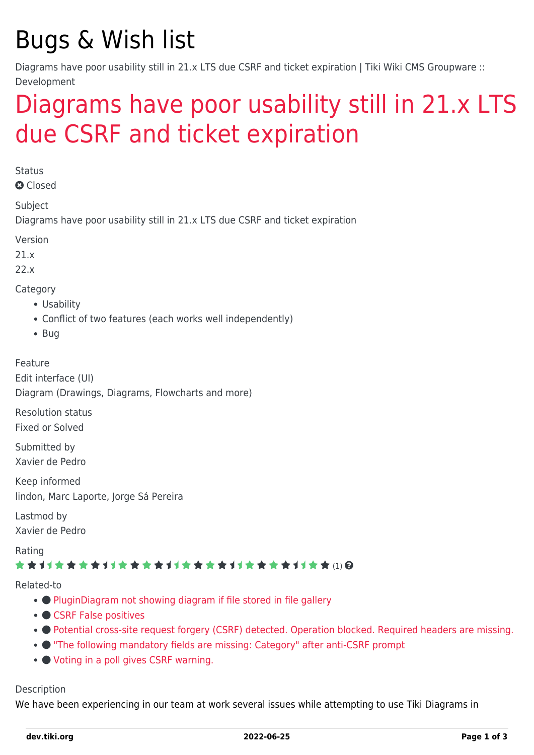# Bugs & Wish list

Diagrams have poor usability still in 21.x LTS due CSRF and ticket expiration | Tiki Wiki CMS Groupware :: Development

# [Diagrams have poor usability still in 21.x LTS](https://dev.tiki.org/item7547-Diagrams-have-poor-usability-still-in-21-x-LTS-due-CSRF-and-ticket-expiration) [due CSRF and ticket expiration](https://dev.tiki.org/item7547-Diagrams-have-poor-usability-still-in-21-x-LTS-due-CSRF-and-ticket-expiration)

**Status** 

**a** Closed

Subject

Diagrams have poor usability still in 21.x LTS due CSRF and ticket expiration

Version

21.x

22.x

Category

- Usability
- Conflict of two features (each works well independently)
- $\bullet$  Bug

Feature Edit interface (UI) Diagram (Drawings, Diagrams, Flowcharts and more)

Resolution status Fixed or Solved

Submitted by Xavier de Pedro

Keep informed lindon, Marc Laporte, Jorge Sá Pereira

Lastmod by Xavier de Pedro

Rating

### ★★11★★★★11★★★★11★★★★11★★★★+11★★ ⑴ @

Related-to

- • [PluginDiagram not showing diagram if file stored in file gallery](https://dev.tiki.org/item7192-PluginDiagram-not-showing-diagram-if-file-stored-in-file-gallery)
- [CSRF False positives](https://dev.tiki.org/item7133-CSRF-False-positives)
- [Potential cross-site request forgery \(CSRF\) detected. Operation blocked. Required headers are missing.](https://dev.tiki.org/item7633-Potential-cross-site-request-forgery-CSRF-detected-Operation-blocked-Required-headers-are-missing)
- ["The following mandatory fields are missing: Category" after anti-CSRF prompt](https://dev.tiki.org/item6926--The-following-mandatory-fields-are-missing-Category-after-anti-CSRF-prompt)
- [Voting in a poll gives CSRF warning.](https://dev.tiki.org/item7350-Voting-in-a-poll-gives-CSRF-warning)

#### Description

We have been experiencing in our team at work several issues while attempting to use Tiki Diagrams in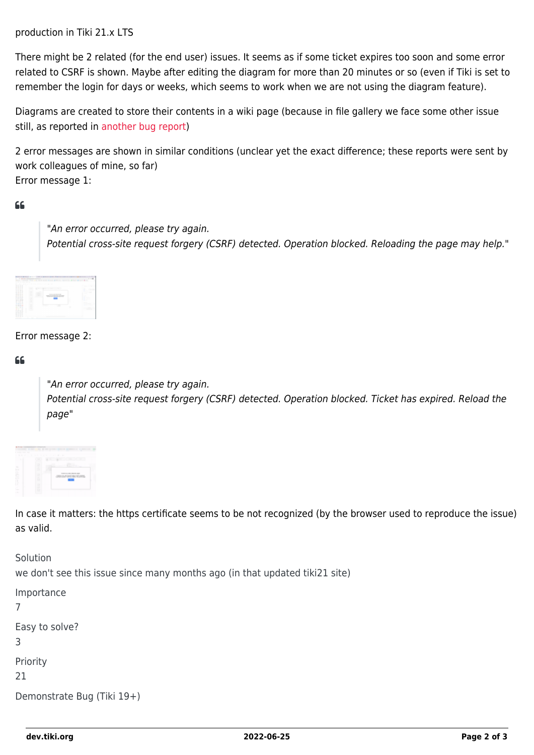production in Tiki 21.x LTS

There might be 2 related (for the end user) issues. It seems as if some ticket expires too soon and some error related to CSRF is shown. Maybe after editing the diagram for more than 20 minutes or so (even if Tiki is set to remember the login for days or weeks, which seems to work when we are not using the diagram feature).

Diagrams are created to store their contents in a wiki page (because in file gallery we face some other issue still, as reported in [another bug report](https://dev.tiki.org/item7192))

2 error messages are shown in similar conditions (unclear yet the exact difference; these reports were sent by work colleagues of mine, so far) Error message 1:

#### $66$

"An error occurred, please try again. Potential cross-site request forgery (CSRF) detected. Operation blocked. Reloading the page may help."



#### Error message 2:

#### $66$

"An error occurred, please try again. Potential cross-site request forgery (CSRF) detected. Operation blocked. Ticket has expired. Reload the page"



In case it matters: the https certificate seems to be not recognized (by the browser used to reproduce the issue) as valid.

Solution we don't see this issue since many months ago (in that updated tiki21 site) Importance

```
7
Easy to solve?
3
Priority
21
Demonstrate Bug (Tiki 19+)
```